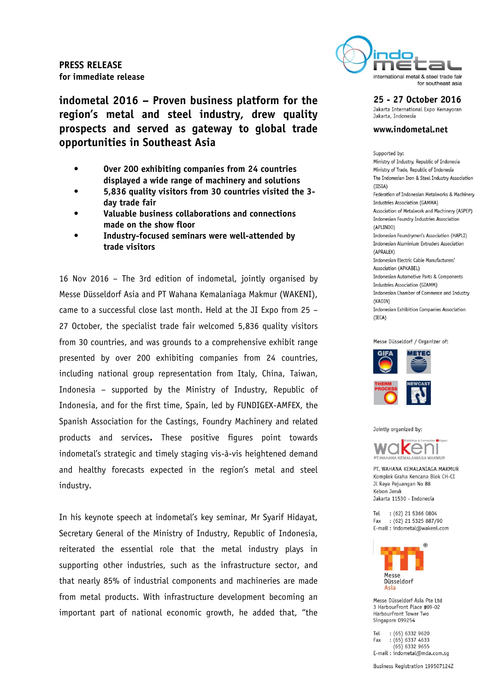

**indometal 2016 – Proven business platform for the region's metal and steel industry, drew quality prospects and served as gateway to global trade opportunities in Southeast Asia**

- **Over 200 exhibiting companies from 24 countries displayed a wide range of machinery and solutions**
- **5,836 quality visitors from 30 countries visited the 3 day trade fair**
- **Valuable business collaborations and connections made on the show floor**
- **Industry-focused seminars were well-attended by trade visitors**

16 Nov 2016 – The 3rd edition of indometal, jointly organised by Messe Düsseldorf Asia and PT Wahana Kemalaniaga Makmur (WAKENI), came to a successful close last month. Held at the JI Expo from 25 – 27 October, the specialist trade fair welcomed 5,836 quality visitors from 30 countries, and was grounds to a comprehensive exhibit range presented by over 200 exhibiting companies from 24 countries, including national group representation from Italy, China, Taiwan, Indonesia – supported by the Ministry of Industry, Republic of Indonesia, and for the first time, Spain, led by FUNDIGEX-AMFEX, the Spanish Association for the Castings, Foundry Machinery and related products and services**.** These positive figures point towards indometal's strategic and timely staging vis-à-vis heightened demand and healthy forecasts expected in the region's metal and steel industry.

In his keynote speech at indometal's key seminar, Mr Syarif Hidayat, Secretary General of the Ministry of Industry, Republic of Indonesia, reiterated the essential role that the metal industry plays in supporting other industries, such as the infrastructure sector, and that nearly 85% of industrial components and machineries are made from metal products. With infrastructure development becoming an important part of national economic growth, he added that, "the

25 - 27 October 2016 Jakarta International Expo Kemayoran

Jakarta, Indonesia

### www.indometal.net

Sunnorted by: Ministry of Industry, Republic of Indonesia Ministry of Trade, Republic of Indonesia The Indonesian Iron & Steel Industry Association  $(IISIA)$ Federation of Indonesian Metalworks & Machinery Industries Association (GAMMA) Association of Metalwork and Machinery (ASPEP) Indonesian Foundry Industries Association (APLINDO) Indonesian Foundrymen's Association (HAPLI) Indonesian Aluminium Extruders Association (APRALFX) Indonesian Electric Cable Manufacturers' Association (APKABEL) Indonesian Automotive Parts & Components Industries Association (GIAMM) Indonesian Chamber of Commerce and Industry (KADIN) Indonesian Exhibition Companies Association  $(IECA)$ 





Jointly organized by:



PT. WAHANA KEMALANTAGA MAKMUR Komplek Graha Kencana Blok CH-CI Jl Raya Pejuangan No 88 Kebon Jeruk Jakarta 11530 - Indonesia

Tel : (62) 21 5366 0804  $:(62)$  21 5325 887/90 Fax E-mail: indometal@wakeni.com



Massa Diissaldorf Asia Pta Ltd 3 HarbourFront Place #09-02 HarbourFront Tower Two Singapore 099254

Tel : (65) 6332 9620 Fax  $:(65) 6337 4633$  $(65)$  6332 9655 E-mail: indometal@mda.com.sg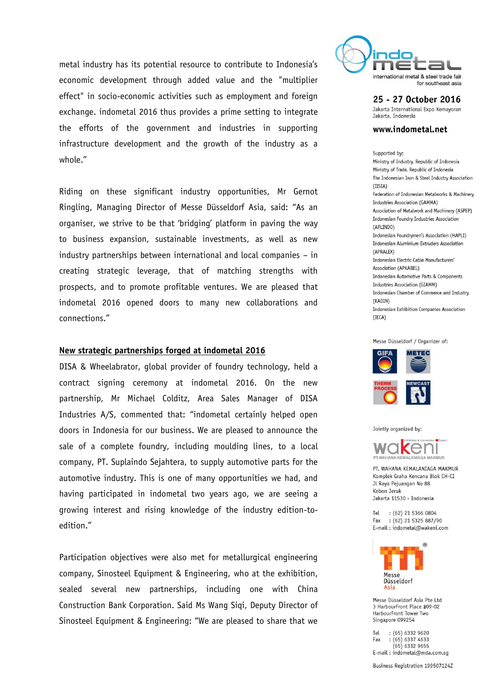metal industry has its potential resource to contribute to Indonesia's economic development through added value and the "multiplier effect" in socio-economic activities such as employment and foreign exchange. indometal 2016 thus provides a prime setting to integrate the efforts of the government and industries in supporting infrastructure development and the growth of the industry as a whole."

Riding on these significant industry opportunities, Mr Gernot Ringling, Managing Director of Messe Düsseldorf Asia, said: "As an organiser, we strive to be that 'bridging' platform in paving the way to business expansion, sustainable investments, as well as new industry partnerships between international and local companies – in creating strategic leverage, that of matching strengths with prospects, and to promote profitable ventures. We are pleased that indometal 2016 opened doors to many new collaborations and connections."

## **New strategic partnerships forged at indometal 2016**

DISA & Wheelabrator, global provider of foundry technology, held a contract signing ceremony at indometal 2016. On the new partnership, Mr Michael Colditz, Area Sales Manager of DISA Industries A/S, commented that: "indometal certainly helped open doors in Indonesia for our business. We are pleased to announce the sale of a complete foundry, including moulding lines, to a local company, PT. Suplaindo Sejahtera, to supply automotive parts for the automotive industry. This is one of many opportunities we had, and having participated in indometal two years ago, we are seeing a growing interest and rising knowledge of the industry edition-toedition."

Participation objectives were also met for metallurgical engineering company, Sinosteel Equipment & Engineering, who at the exhibition, sealed several new partnerships, including one with China Construction Bank Corporation. Said Ms Wang Siqi, Deputy Director of Sinosteel Equipment & Engineering: "We are pleased to share that we



25 - 27 October 2016 Jakarta International Expo Kemayoran Jakarta, Indonesia

www.indometal.net

Supported by: Ministry of Industry, Republic of Indonesia Ministry of Trade, Republic of Indonesia The Indonesian Iron & Steel Industry Association  $(IISIA)$ Federation of Indonesian Metalworks & Machinery Industries Association (GAMMA) Association of Metalwork and Machinery (ASPEP) Indonesian Foundry Industries Association (APLINDO) Indonesian Foundrymen's Association (HAPLI) Indonesian Aluminium Extruders Association (APRALFX) Indonesian Electric Cable Manufacturers' Association (APKABEL) Indonesian Automotive Parts & Components Industries Association (GIAMM) Indonesian Chamber of Commerce and Industry  $(KADIN)$ Indonesian Exhibition Companies Association  $(IECA)$ 



Jointly organized by:



PT. WAHANA KEMALANTAGA MAKMUR Komplek Graha Kencana Blok CH-CI Jl Raya Pejuangan No 88 Kebon Jeruk Jakarta 11530 - Indonesia

Tel : (62) 21 5366 0804  $:(62)$  21 5325 887/90 Fax E-mail: indometal@wakeni.com



Massa Diissaldorf Asia Pta Itd 3 HarbourFront Place #09-02 HarbourFront Tower Two Singapore 099254

Tel  $:(65) 6332 9620$ Fax  $:(65) 6337 4633$  $(65)$  6332 9655 E-mail: indometal@mda.com.sq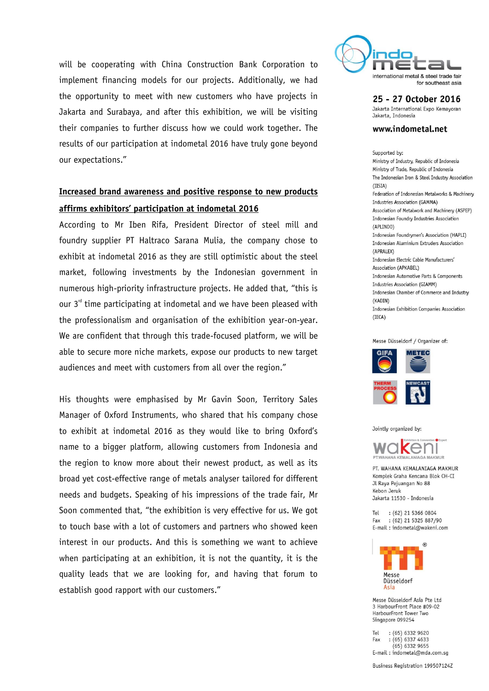will be cooperating with China Construction Bank Corporation to implement financing models for our projects. Additionally, we had the opportunity to meet with new customers who have projects in Jakarta and Surabaya, and after this exhibition, we will be visiting their companies to further discuss how we could work together. The results of our participation at indometal 2016 have truly gone beyond our expectations."

# **Increased brand awareness and positive response to new products affirms exhibitors' participation at indometal 2016**

According to Mr Iben Rifa, President Director of steel mill and foundry supplier PT Haltraco Sarana Mulia, the company chose to exhibit at indometal 2016 as they are still optimistic about the steel market, following investments by the Indonesian government in numerous high-priority infrastructure projects. He added that, "this is our  $3<sup>rd</sup>$  time participating at indometal and we have been pleased with the professionalism and organisation of the exhibition year-on-year. We are confident that through this trade-focused platform, we will be able to secure more niche markets, expose our products to new target audiences and meet with customers from all over the region."

His thoughts were emphasised by Mr Gavin Soon, Territory Sales Manager of Oxford Instruments, who shared that his company chose to exhibit at indometal 2016 as they would like to bring Oxford's name to a bigger platform, allowing customers from Indonesia and the region to know more about their newest product, as well as its broad yet cost-effective range of metals analyser tailored for different needs and budgets. Speaking of his impressions of the trade fair, Mr Soon commented that, "the exhibition is very effective for us. We got to touch base with a lot of customers and partners who showed keen interest in our products. And this is something we want to achieve when participating at an exhibition, it is not the quantity, it is the quality leads that we are looking for, and having that forum to establish good rapport with our customers."



25 - 27 October 2016 Jakarta International Expo Kemayoran Jakarta, Indonesia

www.indometal.net

### Supported by:

Ministry of Industry, Republic of Indonesia Ministry of Trade, Republic of Indonesia The Indonesian Iron & Steel Industry Association  $(IISIA)$ Federation of Indonesian Metalworks & Machinery Industries Association (GAMMA) Association of Metalwork and Machinery (ASPEP) Indonesian Foundry Industries Association (APLINDO) Indonesian Foundrymen's Association (HAPLI) Indonesian Aluminium Extruders Association (APRALEX) Indonesian Electric Cable Manufacturers' Association (APKABEL) Indonesian Automotive Parts & Components Industries Association (GIAMM) Indonesian Chamber of Commerce and Industry (KADIN) Indonesian Exhibition Companies Association (IECA)





Jointly organized by:



PT, WAHANA KEMALANTAGA MAKMUR Komplek Graha Kencana Blok CH-CI Jl Raya Pejuangan No 88 Kebon Jeruk Jakarta 11530 - Indonesia

Tel : (62) 21 5366 0804 : (62) 21 5325 887/90 Fax E-mail: indometal@wakeni.com



Messe Diisseldorf Asia Pte Ltd 3 HarbourFront Place #09-02 HarbourFront Tower Two Singapore 099254

Tel  $:(65) 6332 9620$ Fax  $:(65) 6337 4633$  $(65)$  6332 9655 E-mail: indometal@mda.com.sg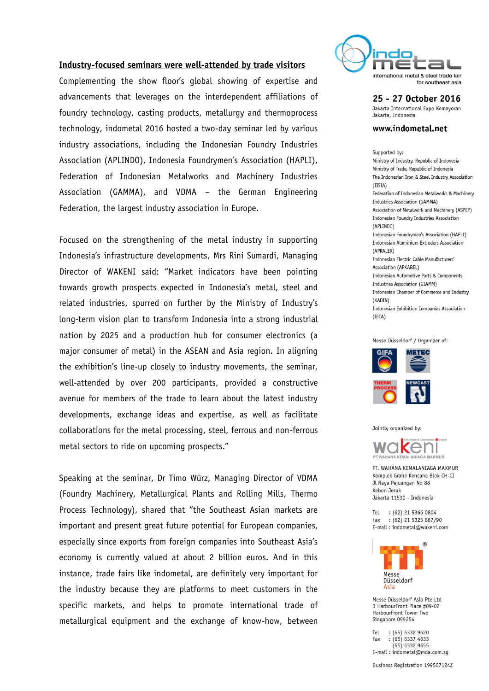## **Industry-focused seminars were well-attended by trade visitors**

Complementing the show floor's global showing of expertise and advancements that leverages on the interdependent affiliations of foundry technology, casting products, metallurgy and thermoprocess technology, indometal 2016 hosted a two-day seminar led by various industry associations, including the Indonesian Foundry Industries Association (APLINDO), Indonesia Foundrymen's Association (HAPLI), Federation of Indonesian Metalworks and Machinery Industries Association (GAMMA), and VDMA – the German Engineering Federation, the largest industry association in Europe.

Focused on the strengthening of the metal industry in supporting Indonesia's infrastructure developments, Mrs Rini Sumardi, Managing Director of WAKENI said: "Market indicators have been pointing towards growth prospects expected in Indonesia's metal, steel and related industries, spurred on further by the Ministry of Industry's long-term vision plan to transform Indonesia into a strong industrial nation by 2025 and a production hub for consumer electronics (a major consumer of metal) in the ASEAN and Asia region. In aligning the exhibition's line-up closely to industry movements, the seminar, well-attended by over 200 participants, provided a constructive avenue for members of the trade to learn about the latest industry developments, exchange ideas and expertise, as well as facilitate collaborations for the metal processing, steel, ferrous and non-ferrous metal sectors to ride on upcoming prospects."

Speaking at the seminar, Dr Timo Würz, Managing Director of VDMA (Foundry Machinery, Metallurgical Plants and Rolling Mills, Thermo Process Technology), shared that "the Southeast Asian markets are important and present great future potential for European companies, especially since exports from foreign companies into Southeast Asia's economy is currently valued at about 2 billion euros. And in this instance, trade fairs like indometal, are definitely very important for the industry because they are platforms to meet customers in the specific markets, and helps to promote international trade of metallurgical equipment and the exchange of know-how, between



25 - 27 October 2016 Jakarta International Expo Kemayoran Jakarta, Indonesia

www.indometal.net

## Supported by:

Ministry of Industry, Republic of Indonesia Ministry of Trade, Republic of Indonesia The Indonesian Iron & Steel Industry Association  $(TISIA)$ Federation of Indonesian Metalworks & Machinery Industries Association (GAMMA) Association of Metalwork and Machinery (ASPEP) Indonesian Foundry Industries Association (API TNDO) Indonesian Foundrymen's Association (HAPLI) Indonesian Aluminium Extruders Association (APRALEX) Indonesian Flectric Cable Manufacturers' Association (APKABEL) Indonesian Automotive Parts & Components Industries Association (GIAMM) Indonesian Chamber of Commerce and Industry (KADIN) Indonesian Exhibition Companies Association  $(TFCA)$ 





Jointly organized by:



PT. WAHANA KEMALANIAGA MAKMUR Komplek Graha Kencana Blok CH-CT Jl Raya Pejuangan No 88 Kebon Jeruk Jakarta 11530 - Indonesia

Tel : (62) 21 5366 0804 Fax : (62) 21 5325 887/90 E-mail: indometal@wakeni.com



Messe Düsseldorf Asia Pte Ltd 3 HarbourFront Place #09-02 HarbourFront Tower Two Singapore 099254

 $:(65) 6332 9620$ Tel  $(65)$  6337 4633 Fax  $(65)$  6332 9655 E-mail: indometal@mda.com.sg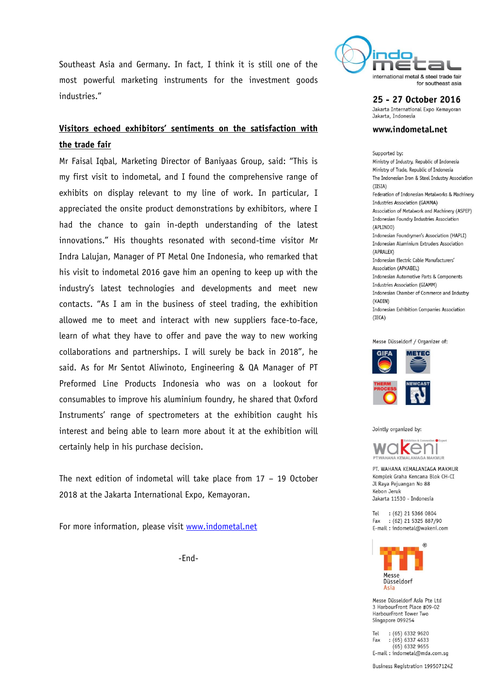Southeast Asia and Germany. In fact, I think it is still one of the most powerful marketing instruments for the investment goods industries."

# **Visitors echoed exhibitors' sentiments on the satisfaction with the trade fair**

Mr Faisal Iqbal, Marketing Director of Baniyaas Group, said: "This is my first visit to indometal, and I found the comprehensive range of exhibits on display relevant to my line of work. In particular, I appreciated the onsite product demonstrations by exhibitors, where I had the chance to gain in-depth understanding of the latest innovations." His thoughts resonated with second-time visitor Mr Indra Lalujan, Manager of PT Metal One Indonesia, who remarked that his visit to indometal 2016 gave him an opening to keep up with the industry's latest technologies and developments and meet new contacts. "As I am in the business of steel trading, the exhibition allowed me to meet and interact with new suppliers face-to-face, learn of what they have to offer and pave the way to new working collaborations and partnerships. I will surely be back in 2018", he said. As for Mr Sentot Aliwinoto, Engineering & QA Manager of PT Preformed Line Products Indonesia who was on a lookout for consumables to improve his aluminium foundry, he shared that Oxford Instruments' range of spectrometers at the exhibition caught his interest and being able to learn more about it at the exhibition will certainly help in his purchase decision.

The next edition of indometal will take place from 17 – 19 October 2018 at the Jakarta International Expo, Kemayoran.

For more information, please visit [www.indometal.net](http://www.indometal.net/)

-End-



25 - 27 October 2016 Jakarta International Expo Kemayoran

Jakarta, Indonesia

### www.indometal.net

Sunnorted by: Ministry of Industry, Republic of Indonesia Ministry of Trade, Republic of Indonesia The Indonesian Iron & Steel Industry Association  $(IISIA)$ Federation of Indonesian Metalworks & Machinery Industries Association (GAMMA) Association of Metalwork and Machinery (ASPEP) Indonesian Foundry Industries Association (APLINDO) Indonesian Foundrymen's Association (HAPLI) Indonesian Aluminium Extruders Association (APRALFX) Indonesian Electric Cable Manufacturers' Association (APKABEL) Indonesian Automotive Parts & Components Industries Association (GIAMM) Indonesian Chamber of Commerce and Industry (KADIN) Indonesian Exhibition Companies Association  $(IECA)$ 





Jointly organized by:



PT. WAHANA KEMALANIAGA MAKMUR Komplek Graha Kencana Blok CH-CI Jl Raya Pejuangan No 88 Kebon Jeruk Jakarta 11530 - Indonesia

Tel : (62) 21 5366 0804  $:(62)$  21 5325 887/90 Fax E-mail: indometal@wakeni.com



Massa Diissaldorf Asia Pta Itd 3 HarbourFront Place #09-02 HarbourFront Tower Two Singapore 099254

Tel  $:(65) 6332 9620$ Fax  $:(65) 6337 4633$  $(65)$  6332 9655 E-mail: indometal@mda.com.sg